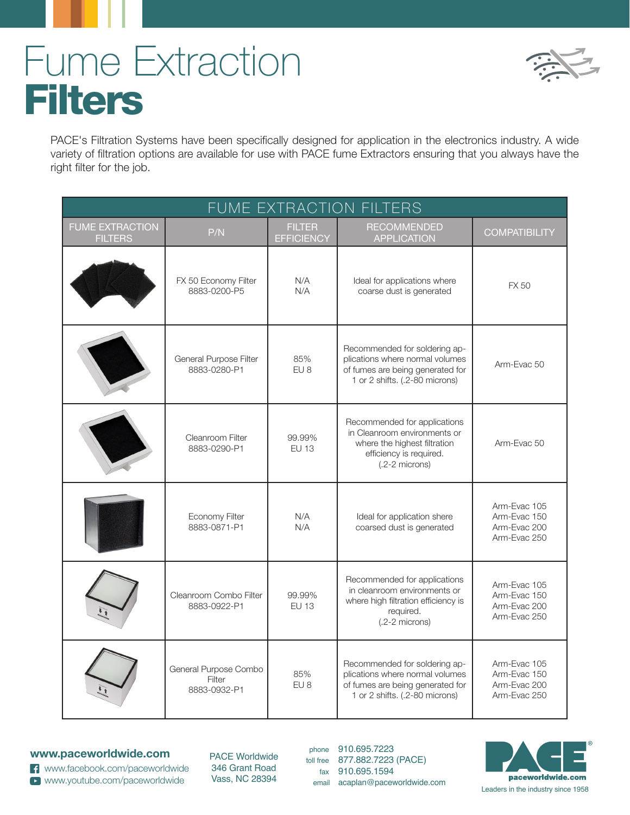## Fume Extraction **Filters**



PACE's Filtration Systems have been specifically designed for application in the electronics industry. A wide variety of filtration options are available for use with PACE fume Extractors ensuring that you always have the right filter for the job.

| FUME EXTRACTION FILTERS                  |                                                 |                                    |                                                                                                                                             |                                                              |  |  |  |
|------------------------------------------|-------------------------------------------------|------------------------------------|---------------------------------------------------------------------------------------------------------------------------------------------|--------------------------------------------------------------|--|--|--|
| <b>FUME EXTRACTION</b><br><b>FILTERS</b> | P/N                                             | <b>FILTER</b><br><b>EFFICIENCY</b> | <b>RECOMMENDED</b><br><b>APPLICATION</b>                                                                                                    | <b>COMPATIBILITY</b>                                         |  |  |  |
|                                          | FX 50 Economy Filter<br>8883-0200-P5            | N/A<br>N/A                         | Ideal for applications where<br>coarse dust is generated                                                                                    | <b>FX 50</b>                                                 |  |  |  |
|                                          | General Purpose Filter<br>8883-0280-P1          | 85%<br>EU <sub>8</sub>             | Recommended for soldering ap-<br>plications where normal volumes<br>of fumes are being generated for<br>1 or 2 shifts. (.2-80 microns)      | Arm-Evac 50                                                  |  |  |  |
|                                          | Cleanroom Filter<br>8883-0290-P1                | 99.99%<br><b>EU 13</b>             | Recommended for applications<br>in Cleanroom environments or<br>where the highest filtration<br>efficiency is required.<br>$(.2-2$ microns) | Arm-Evac 50                                                  |  |  |  |
|                                          | Economy Filter<br>8883-0871-P1                  | N/A<br>N/A                         | Ideal for application shere<br>coarsed dust is generated                                                                                    | Arm-Evac 105<br>Arm-Evac 150<br>Arm-Evac 200<br>Arm-Evac 250 |  |  |  |
|                                          | Cleanroom Combo Filter<br>8883-0922-P1          | 99.99%<br><b>EU 13</b>             | Recommended for applications<br>in cleanroom environments or<br>where high filtration efficiency is<br>required.<br>$(.2-2$ microns)        | Arm-Evac 105<br>Arm-Evac 150<br>Arm-Evac 200<br>Arm-Evac 250 |  |  |  |
|                                          | General Purpose Combo<br>Filter<br>8883-0932-P1 | 85%<br>EU <sub>8</sub>             | Recommended for soldering ap-<br>plications where normal volumes<br>of fumes are being generated for<br>1 or 2 shifts. (.2-80 microns)      | Arm-Evac 105<br>Arm-Evac 150<br>Arm-Evac 200<br>Arm-Evac 250 |  |  |  |

## **www.paceworldwide.com**

www.facebook.com/paceworldwide www.youtube.com/paceworldwide

PACE Worldwide 346 Grant Road Vass, NC 28394

phone 910.695.7223 toll free 877.882.7223 (PACE) fax 910.695.1594<br>email acaplan@paceworldwide.com